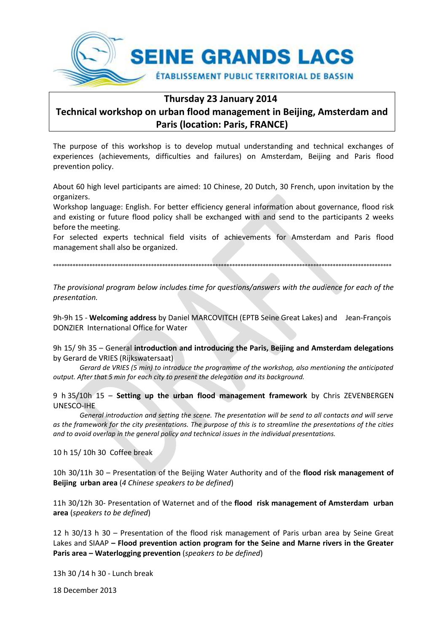

# **Thursday 23 January 2014**

# **Technical workshop on urban flood management in Beijing, Amsterdam and Paris (location: Paris, FRANCE)**

The purpose of this workshop is to develop mutual understanding and technical exchanges of experiences (achievements, difficulties and failures) on Amsterdam, Beijing and Paris flood prevention policy.

About 60 high level participants are aimed: 10 Chinese, 20 Dutch, 30 French, upon invitation by the organizers.

Workshop language: English. For better efficiency general information about governance, flood risk and existing or future flood policy shall be exchanged with and send to the participants 2 weeks before the meeting.

For selected experts technical field visits of achievements for Amsterdam and Paris flood management shall also be organized.

°°°°°°°°°°°°°°°°°°°°°°°°°°°°°°°°°°°°°°°°°°°°°°°°°°°°°°°°°°°°°°°°°°°°°°°°°°°°°°°°°°°°°°°°°°°°°°°°°°°°°°°°°°°°°°°°°°°°°°°°°

*The provisional program below includes time for questions/answers with the audience for each of the presentation.* 

9h-9h 15 - **Welcoming address** by Daniel MARCOVITCH (EPTB Seine Great Lakes) and Jean-François DONZIER International Office for Water

9h 15/ 9h 35 – General **introduction and introducing the Paris, Beijing and Amsterdam delegations** by Gerard de VRIES (Rijkswatersaat)

*Gerard de VRIES (5 min) to introduce the programme of the workshop, also mentioning the anticipated output. After that 5 min for each city to present the delegation and its background.*

9 h 35/10h 15 – **Setting up the urban flood management framework** by Chris ZEVENBERGEN UNESCO-IHE

*General introduction and setting the scene. The presentation will be send to all contacts and will serve as the framework for the city presentations. The purpose of this is to streamline the presentations of the cities and to avoid overlap in the general policy and technical issues in the individual presentations.*

10 h 15/ 10h 30 Coffee break

10h 30/11h 30 – Presentation of the Beijing Water Authority and of the **flood risk management of Beijing urban area** (*4 Chinese speakers to be defined*)

11h 30/12h 30- Presentation of Waternet and of the **flood risk management of Amsterdam urban area** (*speakers to be defined*)

12 h 30/13 h 30 – Presentation of the flood risk management of Paris urban area by Seine Great Lakes and SIAAP **– Flood prevention action program for the Seine and Marne rivers in the Greater Paris area – Waterlogging prevention** (*speakers to be defined*)

13h 30 /14 h 30 - Lunch break

18 December 2013